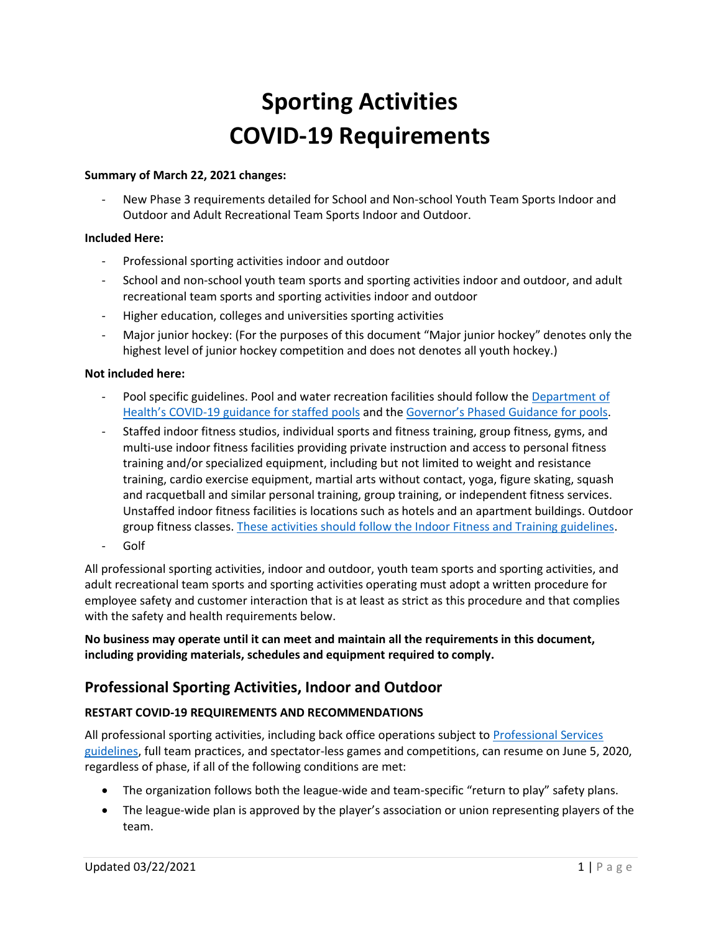# **Sporting Activities COVID-19 Requirements**

#### **Summary of March 22, 2021 changes:**

New Phase 3 requirements detailed for School and Non-school Youth Team Sports Indoor and Outdoor and Adult Recreational Team Sports Indoor and Outdoor.

#### **Included Here:**

- Professional sporting activities indoor and outdoor
- School and non-school youth team sports and sporting activities indoor and outdoor, and adult recreational team sports and sporting activities indoor and outdoor
- Higher education, colleges and universities sporting activities
- Major junior hockey: (For the purposes of this document "Major junior hockey" denotes only the highest level of junior hockey competition and does not denotes all youth hockey.)

#### **Not included here:**

- Pool specific guidelines. Pool and water recreation facilities should follow the Department of Health's COVID[-19 guidance for staffed pools](https://www.doh.wa.gov/Portals/1/Documents/1600/coronavirus/WaterRecreationProgGuidanceCOVID-19.pdf) and the [Governor's Phased Guidance for pools](https://www.governor.wa.gov/sites/default/files/COVID19%20Modified%20Phase%201%20Mini%20Golf%20Putt%20Putt%20and%20Water%20Recreation.pdf).
- Staffed indoor fitness studios, individual sports and fitness training, group fitness, gyms, and multi-use indoor fitness facilities providing private instruction and access to personal fitness training and/or specialized equipment, including but not limited to weight and resistance training, cardio exercise equipment, martial arts without contact, yoga, figure skating, squash and racquetball and similar personal training, group training, or independent fitness services. Unstaffed indoor fitness facilities is locations such as hotels and an apartment buildings. Outdoor group fitness classes. [These activities should follow the Indoor Fitness and Training guidelines.](https://www.governor.wa.gov/sites/default/files/COVID19Phase2FitnessGuidelines.pdf)
- Golf

All professional sporting activities, indoor and outdoor, youth team sports and sporting activities, and adult recreational team sports and sporting activities operating must adopt a written procedure for employee safety and customer interaction that is at least as strict as this procedure and that complies with the safety and health requirements below.

**No business may operate until it can meet and maintain all the requirements in this document, including providing materials, schedules and equipment required to comply.** 

# **Professional Sporting Activities, Indoor and Outdoor**

# **RESTART COVID-19 REQUIREMENTS AND RECOMMENDATIONS**

All professional sporting activities, including back office operations subject t[o Professional](https://www.governor.wa.gov/sites/default/files/COVID19Phase2ProfessionalServicesGuidance.pdf) Services [guidelines,](https://www.governor.wa.gov/sites/default/files/COVID19Phase2ProfessionalServicesGuidance.pdf) full team practices, and spectator-less games and competitions, can resume on June 5, 2020, regardless of phase, if all of the following conditions are met:

- The organization follows both the league-wide and team-specific "return to play" safety plans.
- The league-wide plan is approved by the player's association or union representing players of the team.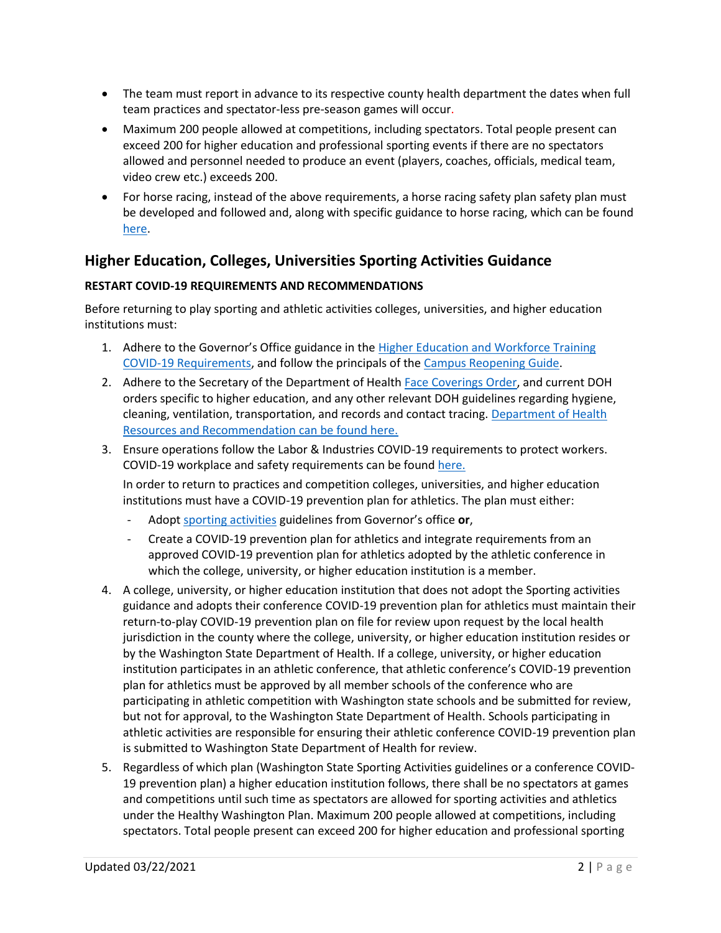- The team must report in advance to its respective county health department the dates when full team practices and spectator-less pre-season games will occur.
- Maximum 200 people allowed at competitions, including spectators. Total people present can exceed 200 for higher education and professional sporting events if there are no spectators allowed and personnel needed to produce an event (players, coaches, officials, medical team, video crew etc.) exceeds 200.
- For horse racing, instead of the above requirements, a horse racing safety plan safety plan must be developed and followed and, along with specific guidance to horse racing, which can be found [here.](https://www.governor.wa.gov/sites/default/files/COVID19%20Phase%202%20Live%20Horse%20Racing%20Guidance.pdf)

# **Higher Education, Colleges, Universities Sporting Activities Guidance**

# **RESTART COVID-19 REQUIREMENTS AND RECOMMENDATIONS**

Before returning to play sporting and athletic activities colleges, universities, and higher education institutions must:

- 1. Adhere to the Governor's Office guidance in the [Higher Education and Workforce Training](https://www.governor.wa.gov/sites/default/files/COVID19Phase2Higher%20EducationGuidance.pdf)  [COVID-19 Requirements,](https://www.governor.wa.gov/sites/default/files/COVID19Phase2Higher%20EducationGuidance.pdf) and follow the principals of the [Campus Reopening Guide.](https://www.governor.wa.gov/sites/default/files/2020.06.23%20Campus%20Reopening%20Guide%20FINAL.pdf)
- 2. Adhere to the Secretary of the Department of Healt[h Face Coverings Order,](https://www.doh.wa.gov/Portals/1/Documents/1600/coronavirus/Secretary_of_Health_Order_20-03_Statewide_Face_Coverings.pdf) and current DOH orders specific to higher education, and any other relevant DOH guidelines regarding hygiene, cleaning, ventilation, transportation, and records and contact tracing. Department of Health [Resources and Recommendation can be found here.](https://www.doh.wa.gov/Emergencies/COVID19/ResourcesandRecommendations)
- 3. Ensure operations follow the Labor & Industries COVID-19 requirements to protect workers. COVID-19 workplace and safety requirements can be found [here.](https://lni.wa.gov/forms-publications/f414-169-000.pdf)

In order to return to practices and competition colleges, universities, and higher education institutions must have a COVID-19 prevention plan for athletics. The plan must either:

- Adopt [sporting activities](https://www.governor.wa.gov/sites/default/files/COVID19%20Phase%202%20and%203%20Sporting%20Activities%20Guidance.pdf) guidelines from Governor's office **or**,
- Create a COVID-19 prevention plan for athletics and integrate requirements from an approved COVID-19 prevention plan for athletics adopted by the athletic conference in which the college, university, or higher education institution is a member.
- 4. A college, university, or higher education institution that does not adopt the Sporting activities guidance and adopts their conference COVID-19 prevention plan for athletics must maintain their return-to-play COVID-19 prevention plan on file for review upon request by the local health jurisdiction in the county where the college, university, or higher education institution resides or by the Washington State Department of Health. If a college, university, or higher education institution participates in an athletic conference, that athletic conference's COVID-19 prevention plan for athletics must be approved by all member schools of the conference who are participating in athletic competition with Washington state schools and be submitted for review, but not for approval, to the Washington State Department of Health. Schools participating in athletic activities are responsible for ensuring their athletic conference COVID-19 prevention plan is submitted to Washington State Department of Health for review.
- 5. Regardless of which plan (Washington State Sporting Activities guidelines or a conference COVID-19 prevention plan) a higher education institution follows, there shall be no spectators at games and competitions until such time as spectators are allowed for sporting activities and athletics under the Healthy Washington Plan. Maximum 200 people allowed at competitions, including spectators. Total people present can exceed 200 for higher education and professional sporting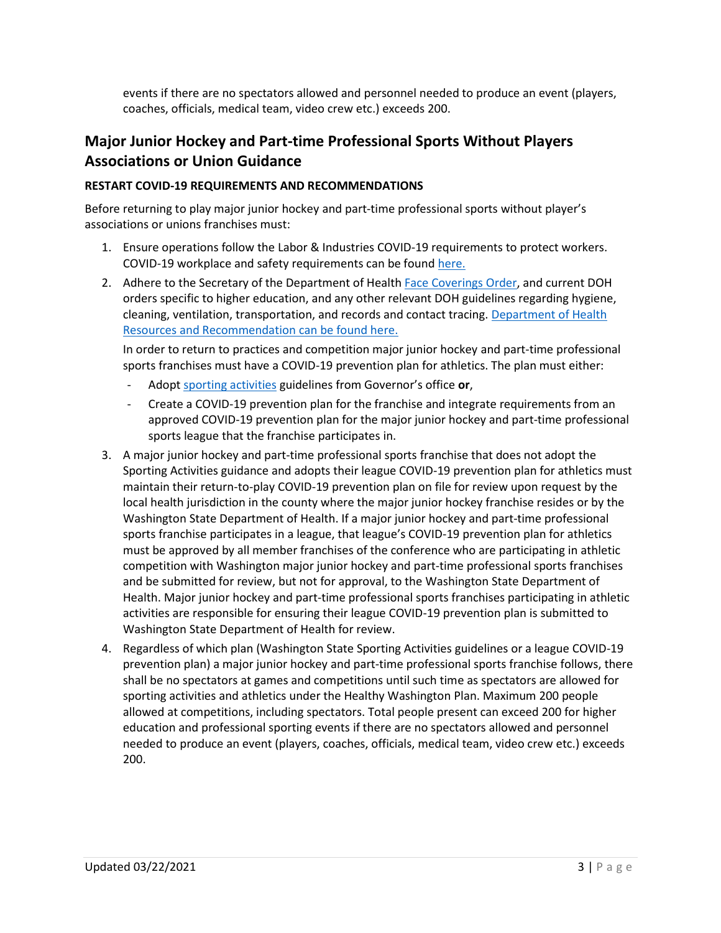events if there are no spectators allowed and personnel needed to produce an event (players, coaches, officials, medical team, video crew etc.) exceeds 200.

# **Major Junior Hockey and Part-time Professional Sports Without Players Associations or Union Guidance**

# **RESTART COVID-19 REQUIREMENTS AND RECOMMENDATIONS**

Before returning to play major junior hockey and part-time professional sports without player's associations or unions franchises must:

- 1. Ensure operations follow the Labor & Industries COVID-19 requirements to protect workers. COVID-19 workplace and safety requirements can be found [here.](https://lni.wa.gov/forms-publications/f414-169-000.pdf)
- 2. Adhere to the Secretary of the Department of Healt[h Face Coverings Order,](https://www.doh.wa.gov/Portals/1/Documents/1600/coronavirus/Secretary_of_Health_Order_20-03_Statewide_Face_Coverings.pdf) and current DOH orders specific to higher education, and any other relevant DOH guidelines regarding hygiene, cleaning, ventilation, transportation, and records and contact tracing. [Department of Health](https://www.doh.wa.gov/Emergencies/COVID19/ResourcesandRecommendations)  [Resources and Recommendation can be found here.](https://www.doh.wa.gov/Emergencies/COVID19/ResourcesandRecommendations)

In order to return to practices and competition major junior hockey and part-time professional sports franchises must have a COVID-19 prevention plan for athletics. The plan must either:

- Adopt [sporting activities](https://www.governor.wa.gov/sites/default/files/COVID19%20Sporting%20Activities%20Guidance.pdf) guidelines from Governor's office **or**,
- Create a COVID-19 prevention plan for the franchise and integrate requirements from an approved COVID-19 prevention plan for the major junior hockey and part-time professional sports league that the franchise participates in.
- 3. A major junior hockey and part-time professional sports franchise that does not adopt the Sporting Activities guidance and adopts their league COVID-19 prevention plan for athletics must maintain their return-to-play COVID-19 prevention plan on file for review upon request by the local health jurisdiction in the county where the major junior hockey franchise resides or by the Washington State Department of Health. If a major junior hockey and part-time professional sports franchise participates in a league, that league's COVID-19 prevention plan for athletics must be approved by all member franchises of the conference who are participating in athletic competition with Washington major junior hockey and part-time professional sports franchises and be submitted for review, but not for approval, to the Washington State Department of Health. Major junior hockey and part-time professional sports franchises participating in athletic activities are responsible for ensuring their league COVID-19 prevention plan is submitted to Washington State Department of Health for review.
- 4. Regardless of which plan (Washington State Sporting Activities guidelines or a league COVID-19 prevention plan) a major junior hockey and part-time professional sports franchise follows, there shall be no spectators at games and competitions until such time as spectators are allowed for sporting activities and athletics under the Healthy Washington Plan. Maximum 200 people allowed at competitions, including spectators. Total people present can exceed 200 for higher education and professional sporting events if there are no spectators allowed and personnel needed to produce an event (players, coaches, officials, medical team, video crew etc.) exceeds 200.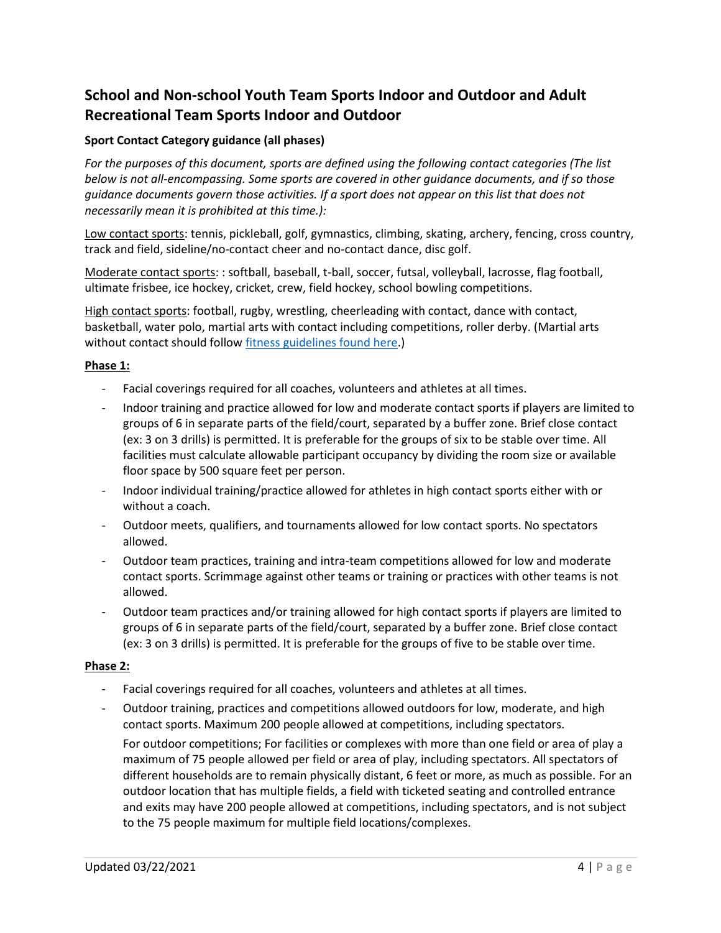# **School and Non-school Youth Team Sports Indoor and Outdoor and Adult Recreational Team Sports Indoor and Outdoor**

# **Sport Contact Category guidance (all phases)**

*For the purposes of this document, sports are defined using the following contact categories (The list below is not all-encompassing. Some sports are covered in other guidance documents, and if so those guidance documents govern those activities. If a sport does not appear on this list that does not necessarily mean it is prohibited at this time.):*

Low contact sports: tennis, pickleball, golf, gymnastics, climbing, skating, archery, fencing, cross country, track and field, sideline/no-contact cheer and no-contact dance, disc golf.

Moderate contact sports: : softball, baseball, t-ball, soccer, futsal, volleyball, lacrosse, flag football, ultimate frisbee, ice hockey, cricket, crew, field hockey, school bowling competitions.

High contact sports: football, rugby, wrestling, cheerleading with contact, dance with contact, basketball, water polo, martial arts with contact including competitions, roller derby. (Martial arts without contact should follo[w fitness guidelines found here.](https://www.governor.wa.gov/sites/default/files/COVID19%20Fitness%20Guidance.pdf))

#### **Phase 1:**

- Facial coverings required for all coaches, volunteers and athletes at all times.
- Indoor training and practice allowed for low and moderate contact sports if players are limited to groups of 6 in separate parts of the field/court, separated by a buffer zone. Brief close contact (ex: 3 on 3 drills) is permitted. It is preferable for the groups of six to be stable over time. All facilities must calculate allowable participant occupancy by dividing the room size or available floor space by 500 square feet per person.
- Indoor individual training/practice allowed for athletes in high contact sports either with or without a coach.
- Outdoor meets, qualifiers, and tournaments allowed for low contact sports. No spectators allowed.
- Outdoor team practices, training and intra-team competitions allowed for low and moderate contact sports. Scrimmage against other teams or training or practices with other teams is not allowed.
- Outdoor team practices and/or training allowed for high contact sports if players are limited to groups of 6 in separate parts of the field/court, separated by a buffer zone. Brief close contact (ex: 3 on 3 drills) is permitted. It is preferable for the groups of five to be stable over time.

#### **Phase 2:**

- Facial coverings required for all coaches, volunteers and athletes at all times.
- Outdoor training, practices and competitions allowed outdoors for low, moderate, and high contact sports. Maximum 200 people allowed at competitions, including spectators. For outdoor competitions; For facilities or complexes with more than one field or area of play a maximum of 75 people allowed per field or area of play, including spectators. All spectators of different households are to remain physically distant, 6 feet or more, as much as possible. For an outdoor location that has multiple fields, a field with ticketed seating and controlled entrance and exits may have 200 people allowed at competitions, including spectators, and is not subject to the 75 people maximum for multiple field locations/complexes.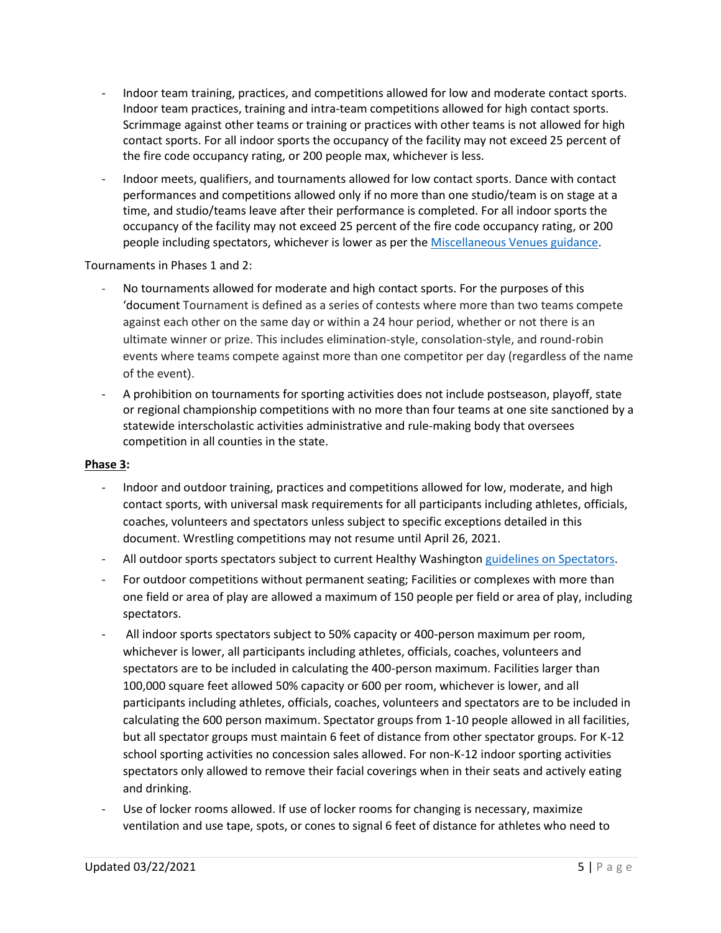- Indoor team training, practices, and competitions allowed for low and moderate contact sports. Indoor team practices, training and intra-team competitions allowed for high contact sports. Scrimmage against other teams or training or practices with other teams is not allowed for high contact sports. For all indoor sports the occupancy of the facility may not exceed 25 percent of the fire code occupancy rating, or 200 people max, whichever is less.
- Indoor meets, qualifiers, and tournaments allowed for low contact sports. Dance with contact performances and competitions allowed only if no more than one studio/team is on stage at a time, and studio/teams leave after their performance is completed. For all indoor sports the occupancy of the facility may not exceed 25 percent of the fire code occupancy rating, or 200 people including spectators, whichever is lower as per the [Miscellaneous Venues guidance.](https://www.governor.wa.gov/sites/default/files/COVID19%20Misc%20Venue%20Guidance.pdf)

Tournaments in Phases 1 and 2:

- No tournaments allowed for moderate and high contact sports. For the purposes of this 'document Tournament is defined as a series of contests where more than two teams compete against each other on the same day or within a 24 hour period, whether or not there is an ultimate winner or prize. This includes elimination-style, consolation-style, and round-robin events where teams compete against more than one competitor per day (regardless of the name of the event).
- A prohibition on tournaments for sporting activities does not include postseason, playoff, state or regional championship competitions with no more than four teams at one site sanctioned by a statewide interscholastic activities administrative and rule-making body that oversees competition in all counties in the state.

#### **Phase 3:**

- Indoor and outdoor training, practices and competitions allowed for low, moderate, and high contact sports, with universal mask requirements for all participants including athletes, officials, coaches, volunteers and spectators unless subject to specific exceptions detailed in this document. Wrestling competitions may not resume until April 26, 2021.
- All outdoor sports spectators subject to current Healthy Washingto[n guidelines on Spectators.](https://www.governor.wa.gov/sites/default/files/COVID19%20Spectator%20Event%20Guidance.pdf)
- For outdoor competitions without permanent seating; Facilities or complexes with more than one field or area of play are allowed a maximum of 150 people per field or area of play, including spectators.
- All indoor sports spectators subject to 50% capacity or 400-person maximum per room, whichever is lower, all participants including athletes, officials, coaches, volunteers and spectators are to be included in calculating the 400-person maximum. Facilities larger than 100,000 square feet allowed 50% capacity or 600 per room, whichever is lower, and all participants including athletes, officials, coaches, volunteers and spectators are to be included in calculating the 600 person maximum. Spectator groups from 1-10 people allowed in all facilities, but all spectator groups must maintain 6 feet of distance from other spectator groups. For K-12 school sporting activities no concession sales allowed. For non-K-12 indoor sporting activities spectators only allowed to remove their facial coverings when in their seats and actively eating and drinking.
- Use of locker rooms allowed. If use of locker rooms for changing is necessary, maximize ventilation and use tape, spots, or cones to signal 6 feet of distance for athletes who need to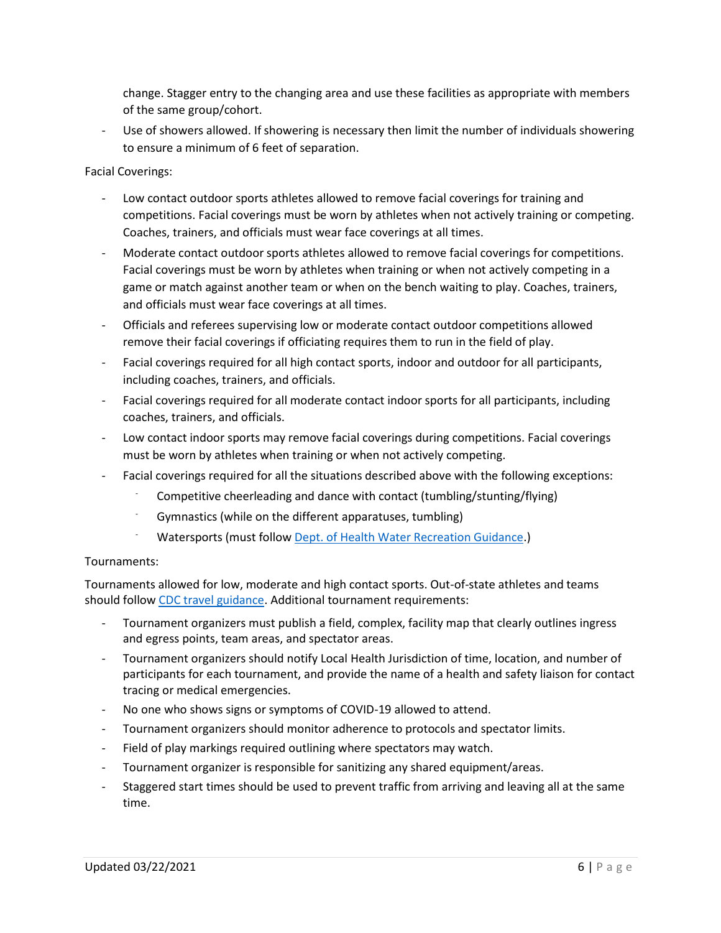change. Stagger entry to the changing area and use these facilities as appropriate with members of the same group/cohort.

Use of showers allowed. If showering is necessary then limit the number of individuals showering to ensure a minimum of 6 feet of separation.

#### Facial Coverings:

- Low contact outdoor sports athletes allowed to remove facial coverings for training and competitions. Facial coverings must be worn by athletes when not actively training or competing. Coaches, trainers, and officials must wear face coverings at all times.
- Moderate contact outdoor sports athletes allowed to remove facial coverings for competitions. Facial coverings must be worn by athletes when training or when not actively competing in a game or match against another team or when on the bench waiting to play. Coaches, trainers, and officials must wear face coverings at all times.
- Officials and referees supervising low or moderate contact outdoor competitions allowed remove their facial coverings if officiating requires them to run in the field of play.
- Facial coverings required for all high contact sports, indoor and outdoor for all participants, including coaches, trainers, and officials.
- Facial coverings required for all moderate contact indoor sports for all participants, including coaches, trainers, and officials.
- Low contact indoor sports may remove facial coverings during competitions. Facial coverings must be worn by athletes when training or when not actively competing.
- Facial coverings required for all the situations described above with the following exceptions:
	- Competitive cheerleading and dance with contact (tumbling/stunting/flying)
	- Gymnastics (while on the different apparatuses, tumbling)
	- Watersports (must follow [Dept. of Health Water Recreation Guidance.](https://www.doh.wa.gov/Portals/1/Documents/1600/coronavirus/ReopeningWaterRecreationFacilitiesCOVID19.pdf))

#### Tournaments:

Tournaments allowed for low, moderate and high contact sports. Out-of-state athletes and teams should follow [CDC travel guidance.](https://www.cdc.gov/coronavirus/2019-ncov/travelers/travel-during-covid19.html) Additional tournament requirements:

- Tournament organizers must publish a field, complex, facility map that clearly outlines ingress and egress points, team areas, and spectator areas.
- Tournament organizers should notify Local Health Jurisdiction of time, location, and number of participants for each tournament, and provide the name of a health and safety liaison for contact tracing or medical emergencies.
- No one who shows signs or symptoms of COVID-19 allowed to attend.
- Tournament organizers should monitor adherence to protocols and spectator limits.
- Field of play markings required outlining where spectators may watch.
- Tournament organizer is responsible for sanitizing any shared equipment/areas.
- Staggered start times should be used to prevent traffic from arriving and leaving all at the same time.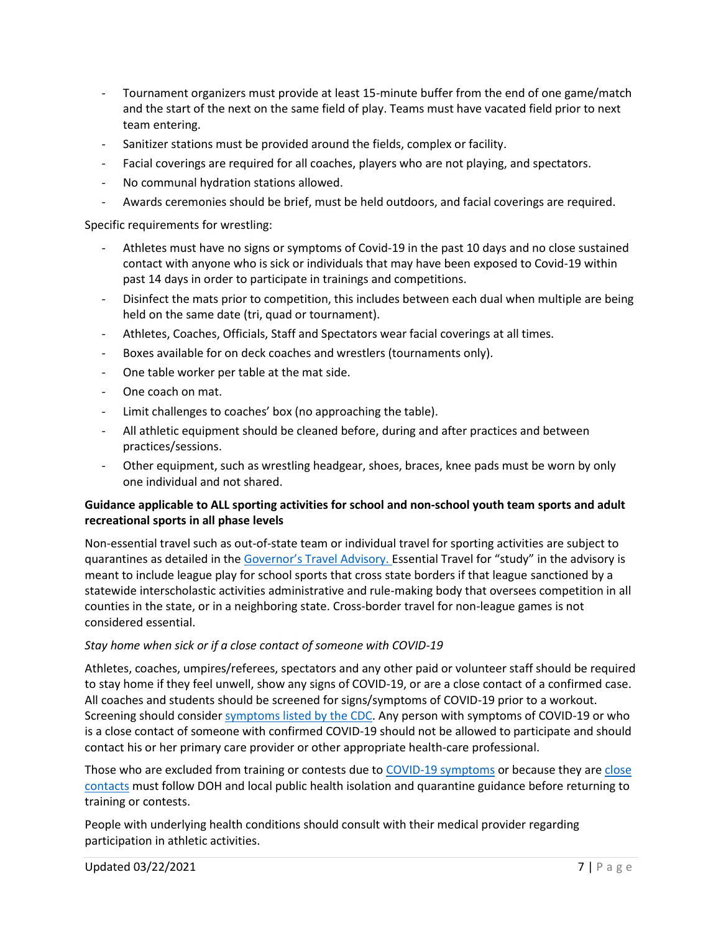- Tournament organizers must provide at least 15-minute buffer from the end of one game/match and the start of the next on the same field of play. Teams must have vacated field prior to next team entering.
- Sanitizer stations must be provided around the fields, complex or facility.
- Facial coverings are required for all coaches, players who are not playing, and spectators.
- No communal hydration stations allowed.
- Awards ceremonies should be brief, must be held outdoors, and facial coverings are required.

# Specific requirements for wrestling:

- Athletes must have no signs or symptoms of Covid-19 in the past 10 days and no close sustained contact with anyone who is sick or individuals that may have been exposed to Covid-19 within past 14 days in order to participate in trainings and competitions.
- Disinfect the mats prior to competition, this includes between each dual when multiple are being held on the same date (tri, quad or tournament).
- Athletes, Coaches, Officials, Staff and Spectators wear facial coverings at all times.
- Boxes available for on deck coaches and wrestlers (tournaments only).
- One table worker per table at the mat side.
- One coach on mat.
- Limit challenges to coaches' box (no approaching the table).
- All athletic equipment should be cleaned before, during and after practices and between practices/sessions.
- Other equipment, such as wrestling headgear, shoes, braces, knee pads must be worn by only one individual and not shared.

#### **Guidance applicable to ALL sporting activities for school and non-school youth team sports and adult recreational sports in all phase levels**

Non-essential travel such as out-of-state team or individual travel for sporting activities are subject to quarantines as detailed in the [Governor's Travel Advisory.](https://www.governor.wa.gov/sites/default/files/COVID-19%20Travel%20Advisory%20-%202021.pdf?utm_medium=email&utm_source=govdelivery) Essential Travel for "study" in the advisory is meant to include league play for school sports that cross state borders if that league sanctioned by a statewide interscholastic activities administrative and rule-making body that oversees competition in all counties in the state, or in a neighboring state. Cross-border travel for non-league games is not considered essential.

# *Stay home when sick or if a close contact of someone with COVID-19*

Athletes, coaches, umpires/referees, spectators and any other paid or volunteer staff should be required to stay home if they feel unwell, show any signs of COVID-19, or are a close contact of a confirmed case. All coaches and students should be screened for signs/symptoms of COVID-19 prior to a workout. Screening should consider [symptoms listed by the CDC.](https://www.cdc.gov/coronavirus/2019-ncov/symptoms-testing/symptoms.html) Any person with symptoms of COVID-19 or who is a close contact of someone with confirmed COVID-19 should not be allowed to participate and should contact his or her primary care provider or other appropriate health-care professional.

Those who are excluded from training or contests due to [COVID-19 symptoms](https://www.doh.wa.gov/Portals/1/Documents/1600/coronavirus/COVIDconcerned.pdf) or because they ar[e close](https://www.doh.wa.gov/Portals/1/Documents/1600/coronavirus/COVIDexposed.pdf)  [contacts](https://www.doh.wa.gov/Portals/1/Documents/1600/coronavirus/COVIDexposed.pdf) must follow DOH and local public health isolation and quarantine guidance before returning to training or contests.

People with underlying health conditions should consult with their medical provider regarding participation in athletic activities.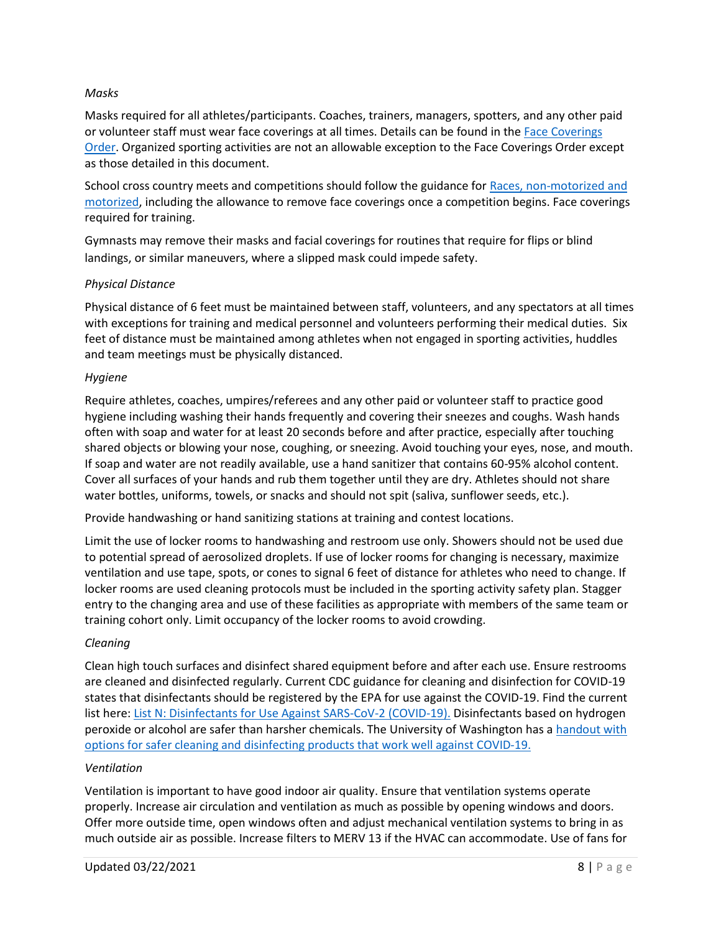#### *Masks*

Masks required for all athletes/participants. Coaches, trainers, managers, spotters, and any other paid or volunteer staff must wear face coverings at all times. Details can be found in the [Face Coverings](https://www.doh.wa.gov/Portals/1/Documents/1600/coronavirus/Secretary_of_Health_Order_20-03_Statewide_Face_Coverings.pdf)  [Order.](https://www.doh.wa.gov/Portals/1/Documents/1600/coronavirus/Secretary_of_Health_Order_20-03_Statewide_Face_Coverings.pdf) Organized sporting activities are not an allowable exception to the Face Coverings Order except as those detailed in this document.

School cross country meets and competitions should follow the guidance for [Races, non-motorized and](https://www.governor.wa.gov/sites/default/files/COVID19%20Racing%20Guidance.pdf)  [motorized,](https://www.governor.wa.gov/sites/default/files/COVID19%20Racing%20Guidance.pdf) including the allowance to remove face coverings once a competition begins. Face coverings required for training.

Gymnasts may remove their masks and facial coverings for routines that require for flips or blind landings, or similar maneuvers, where a slipped mask could impede safety.

#### *Physical Distance*

Physical distance of 6 feet must be maintained between staff, volunteers, and any spectators at all times with exceptions for training and medical personnel and volunteers performing their medical duties. Six feet of distance must be maintained among athletes when not engaged in sporting activities, huddles and team meetings must be physically distanced.

#### *Hygiene*

Require athletes, coaches, umpires/referees and any other paid or volunteer staff to practice good hygiene including washing their hands frequently and covering their sneezes and coughs. Wash hands often with soap and water for at least 20 seconds before and after practice, especially after touching shared objects or blowing your nose, coughing, or sneezing. Avoid touching your eyes, nose, and mouth. If soap and water are not readily available, use a hand sanitizer that contains 60-95% alcohol content. Cover all surfaces of your hands and rub them together until they are dry. Athletes should not share water bottles, uniforms, towels, or snacks and should not spit (saliva, sunflower seeds, etc.).

Provide handwashing or hand sanitizing stations at training and contest locations.

Limit the use of locker rooms to handwashing and restroom use only. Showers should not be used due to potential spread of aerosolized droplets. If use of locker rooms for changing is necessary, maximize ventilation and use tape, spots, or cones to signal 6 feet of distance for athletes who need to change. If locker rooms are used cleaning protocols must be included in the sporting activity safety plan. Stagger entry to the changing area and use of these facilities as appropriate with members of the same team or training cohort only. Limit occupancy of the locker rooms to avoid crowding.

# *Cleaning*

Clean high touch surfaces and disinfect shared equipment before and after each use. Ensure restrooms are cleaned and disinfected regularly. Current CDC guidance for cleaning and disinfection for COVID-19 states that disinfectants should be registered by the EPA for use against the COVID-19. Find the current list here[: List N: Disinfectants for Use Against SARS-CoV-2 \(COVID-19\).](https://www.epa.gov/pesticide-registration/list-n-disinfectants-coronavirus-covid-19) Disinfectants based on hydrogen peroxide or alcohol are safer than harsher chemicals. The University of Washington has a [handout with](https://osha.washington.edu/sites/default/files/documents/FactSheet_Cleaning_Final_UWDEOHS_0.pdf)  [options for safer cleaning and disinfecting products that work well against COVID-19.](https://osha.washington.edu/sites/default/files/documents/FactSheet_Cleaning_Final_UWDEOHS_0.pdf)

#### *Ventilation*

Ventilation is important to have good indoor air quality. Ensure that ventilation systems operate properly. Increase air circulation and ventilation as much as possible by opening windows and doors. Offer more outside time, open windows often and adjust mechanical ventilation systems to bring in as much outside air as possible. Increase filters to MERV 13 if the HVAC can accommodate. Use of fans for